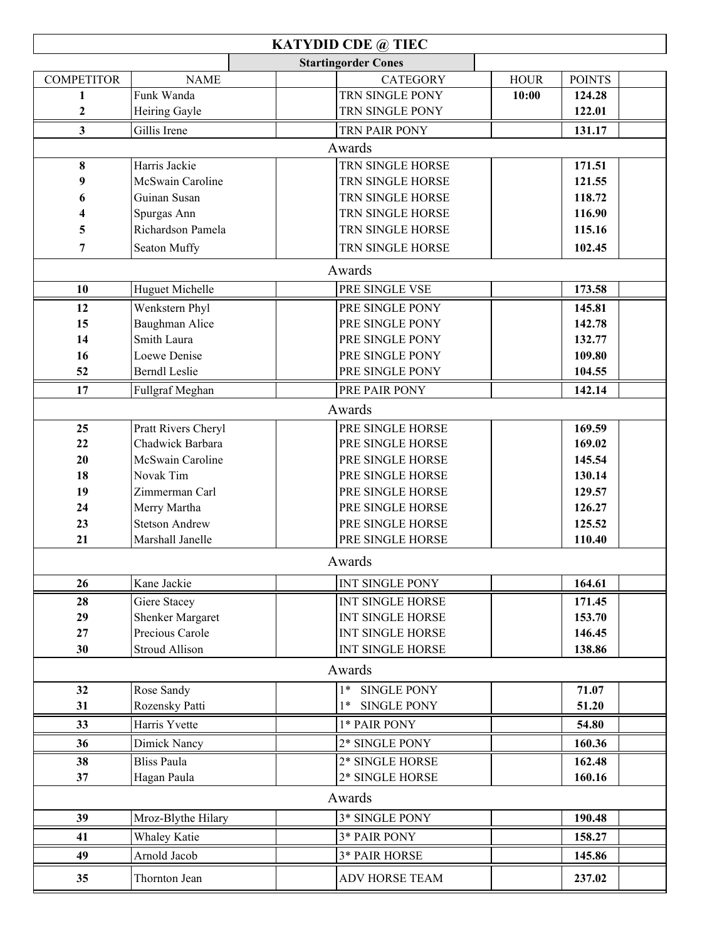|                   |                       | <b>KATYDID CDE @ TIEC</b>  |                         |             |               |  |
|-------------------|-----------------------|----------------------------|-------------------------|-------------|---------------|--|
|                   |                       | <b>Startingorder Cones</b> |                         |             |               |  |
| <b>COMPETITOR</b> | <b>NAME</b>           |                            | <b>CATEGORY</b>         | <b>HOUR</b> | <b>POINTS</b> |  |
| $\mathbf{1}$      | Funk Wanda            |                            | TRN SINGLE PONY         | 10:00       | 124.28        |  |
| 2                 | Heiring Gayle         |                            | TRN SINGLE PONY         |             | 122.01        |  |
| 3                 | Gillis Irene          |                            | TRN PAIR PONY           |             | 131.17        |  |
|                   |                       | Awards                     |                         |             |               |  |
| 8                 | Harris Jackie         |                            | TRN SINGLE HORSE        |             | 171.51        |  |
| 9                 | McSwain Caroline      |                            | TRN SINGLE HORSE        |             | 121.55        |  |
| 6                 | Guinan Susan          |                            | TRN SINGLE HORSE        |             | 118.72        |  |
| 4                 | Spurgas Ann           |                            | TRN SINGLE HORSE        |             | 116.90        |  |
| 5                 | Richardson Pamela     |                            | TRN SINGLE HORSE        |             | 115.16        |  |
| 7                 | Seaton Muffy          |                            | TRN SINGLE HORSE        |             | 102.45        |  |
|                   |                       | Awards                     |                         |             |               |  |
| 10                | Huguet Michelle       |                            | PRE SINGLE VSE          |             | 173.58        |  |
| 12                | Wenkstern Phyl        |                            | PRE SINGLE PONY         |             | 145.81        |  |
| 15                | Baughman Alice        |                            | PRE SINGLE PONY         |             | 142.78        |  |
| 14                | Smith Laura           |                            | PRE SINGLE PONY         |             | 132.77        |  |
| 16                | Loewe Denise          |                            | PRE SINGLE PONY         |             | 109.80        |  |
| 52                | <b>Berndl</b> Leslie  |                            | PRE SINGLE PONY         |             | 104.55        |  |
| 17                | Fullgraf Meghan       |                            | PRE PAIR PONY           |             | 142.14        |  |
|                   |                       | Awards                     |                         |             |               |  |
| 25                | Pratt Rivers Cheryl   |                            | PRE SINGLE HORSE        |             | 169.59        |  |
| 22                | Chadwick Barbara      |                            | PRE SINGLE HORSE        |             | 169.02        |  |
| 20                | McSwain Caroline      |                            | PRE SINGLE HORSE        |             | 145.54        |  |
| 18                | Novak Tim             |                            | PRE SINGLE HORSE        |             | 130.14        |  |
| 19                | Zimmerman Carl        |                            | PRE SINGLE HORSE        |             | 129.57        |  |
| 24                | Merry Martha          |                            | PRE SINGLE HORSE        |             | 126.27        |  |
| 23                | <b>Stetson Andrew</b> |                            | PRE SINGLE HORSE        |             | 125.52        |  |
| 21                | Marshall Janelle      |                            | PRE SINGLE HORSE        |             | 110.40        |  |
|                   |                       | Awards                     |                         |             |               |  |
| 26                | Kane Jackie           |                            | INT SINGLE PONY         |             | 164.61        |  |
| 28                | Giere Stacey          |                            | <b>INT SINGLE HORSE</b> |             | 171.45        |  |
| 29                | Shenker Margaret      |                            | <b>INT SINGLE HORSE</b> |             | 153.70        |  |
| 27                | Precious Carole       |                            | <b>INT SINGLE HORSE</b> |             | 146.45        |  |
| 30                | <b>Stroud Allison</b> |                            | <b>INT SINGLE HORSE</b> |             | 138.86        |  |
|                   |                       | Awards                     |                         |             |               |  |
| 32                | Rose Sandy            | $1*$                       | <b>SINGLE PONY</b>      |             | 71.07         |  |
| 31                | Rozensky Patti        | 1*                         | <b>SINGLE PONY</b>      |             | 51.20         |  |
| 33                | Harris Yvette         |                            | 1* PAIR PONY            |             | 54.80         |  |
| 36                | Dimick Nancy          |                            | 2* SINGLE PONY          |             | 160.36        |  |
| 38                | <b>Bliss Paula</b>    |                            | 2* SINGLE HORSE         |             | 162.48        |  |
| 37                | Hagan Paula           |                            | 2* SINGLE HORSE         |             | 160.16        |  |
|                   |                       | Awards                     |                         |             |               |  |
| 39                | Mroz-Blythe Hilary    |                            | 3* SINGLE PONY          |             | 190.48        |  |
| 41                | Whaley Katie          |                            | 3* PAIR PONY            |             | 158.27        |  |
| 49                | Arnold Jacob          |                            | 3* PAIR HORSE           |             | 145.86        |  |
| 35                | Thornton Jean         |                            | ADV HORSE TEAM          |             | 237.02        |  |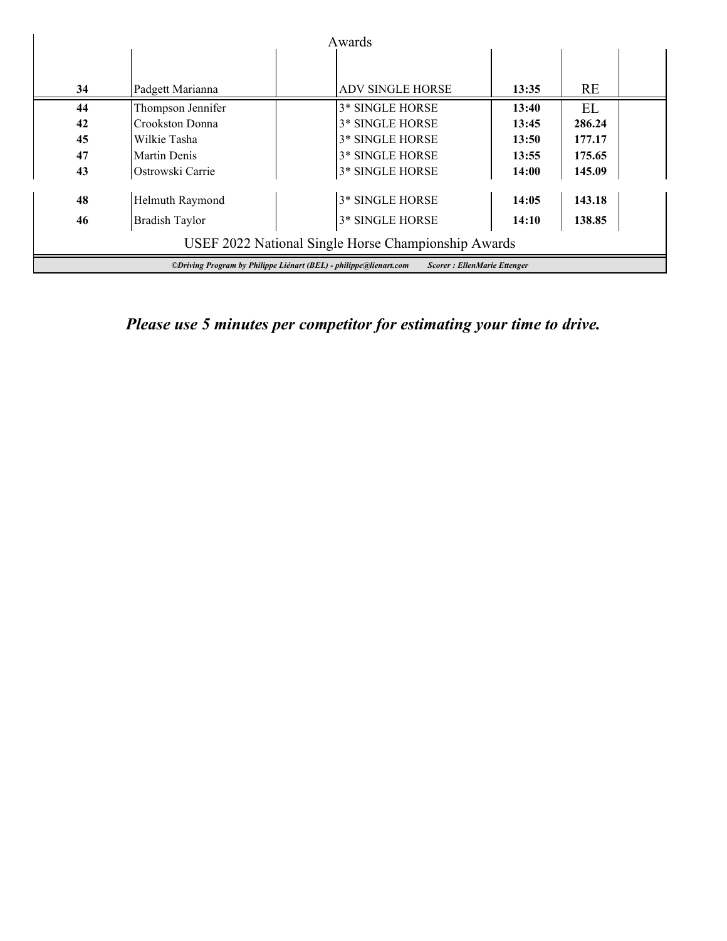|                                                                                                         |                   | Awards                 |       |           |  |
|---------------------------------------------------------------------------------------------------------|-------------------|------------------------|-------|-----------|--|
|                                                                                                         |                   |                        |       |           |  |
| 34                                                                                                      | Padgett Marianna  | ADV SINGLE HORSE       | 13:35 | <b>RE</b> |  |
| 44                                                                                                      | Thompson Jennifer | <b>3* SINGLE HORSE</b> | 13:40 | EL        |  |
| 42                                                                                                      | Crookston Donna   | <b>3* SINGLE HORSE</b> | 13:45 | 286.24    |  |
| 45                                                                                                      | Wilkie Tasha      | <b>3* SINGLE HORSE</b> | 13:50 | 177.17    |  |
| 47                                                                                                      | Martin Denis      | <b>3* SINGLE HORSE</b> | 13:55 | 175.65    |  |
| 43                                                                                                      | Ostrowski Carrie  | 3* SINGLE HORSE        | 14:00 | 145.09    |  |
| 48                                                                                                      | Helmuth Raymond   | 3* SINGLE HORSE        | 14:05 | 143.18    |  |
| 46                                                                                                      | Bradish Taylor    | 3* SINGLE HORSE        | 14:10 | 138.85    |  |
| USEF 2022 National Single Horse Championship Awards                                                     |                   |                        |       |           |  |
| ©Driving Program by Philippe Liénart (BEL) - philippe@lienart.com<br><b>Scorer: EllenMarie Ettenger</b> |                   |                        |       |           |  |

*Please use 5 minutes per competitor for estimating your time to drive.*